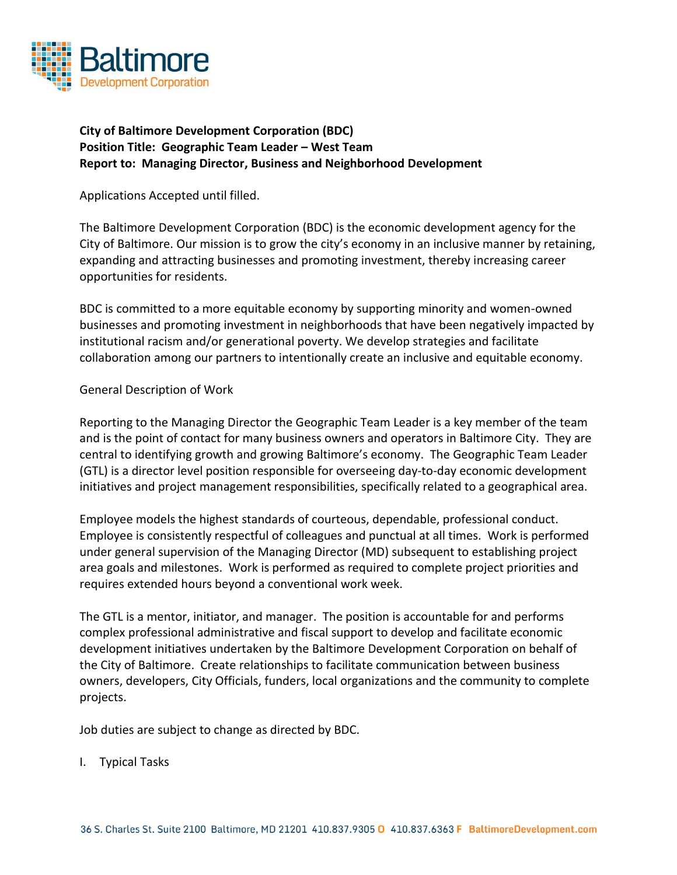

## **City of Baltimore Development Corporation (BDC) Position Title: Geographic Team Leader – West Team Report to: Managing Director, Business and Neighborhood Development**

Applications Accepted until filled.

The Baltimore Development Corporation (BDC) is the economic development agency for the City of Baltimore. Our mission is to grow the city's economy in an inclusive manner by retaining, expanding and attracting businesses and promoting investment, thereby increasing career opportunities for residents.

BDC is committed to a more equitable economy by supporting minority and women-owned businesses and promoting investment in neighborhoods that have been negatively impacted by institutional racism and/or generational poverty. We develop strategies and facilitate collaboration among our partners to intentionally create an inclusive and equitable economy.

## General Description of Work

Reporting to the Managing Director the Geographic Team Leader is a key member of the team and is the point of contact for many business owners and operators in Baltimore City. They are central to identifying growth and growing Baltimore's economy. The Geographic Team Leader (GTL) is a director level position responsible for overseeing day-to-day economic development initiatives and project management responsibilities, specifically related to a geographical area.

Employee models the highest standards of courteous, dependable, professional conduct. Employee is consistently respectful of colleagues and punctual at all times. Work is performed under general supervision of the Managing Director (MD) subsequent to establishing project area goals and milestones. Work is performed as required to complete project priorities and requires extended hours beyond a conventional work week.

The GTL is a mentor, initiator, and manager. The position is accountable for and performs complex professional administrative and fiscal support to develop and facilitate economic development initiatives undertaken by the Baltimore Development Corporation on behalf of the City of Baltimore. Create relationships to facilitate communication between business owners, developers, City Officials, funders, local organizations and the community to complete projects.

Job duties are subject to change as directed by BDC.

I. Typical Tasks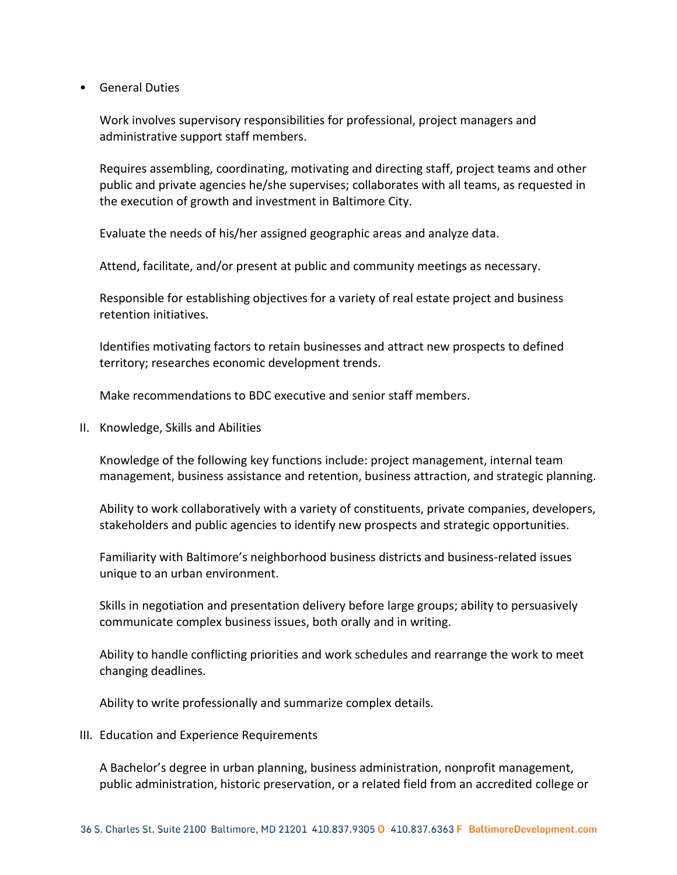• General Duties

Work involves supervisory responsibilities for professional, project managers and administrative support staff members.

Requires assembling, coordinating, motivating and directing staff, project teams and other public and private agencies he/she supervises; collaborates with all teams, as requested in the execution of growth and investment in Baltimore City.

Evaluate the needs of his/her assigned geographic areas and analyze data.

Attend, facilitate, and/or present at public and community meetings as necessary.

Responsible for establishing objectives for a variety of real estate project and business retention initiatives.

Identifies motivating factors to retain businesses and attract new prospects to defined territory; researches economic development trends.

Make recommendations to BDC executive and senior staff members.

II. Knowledge, Skills and Abilities

Knowledge of the following key functions include: project management, internal team management, business assistance and retention, business attraction, and strategic planning.

Ability to work collaboratively with a variety of constituents, private companies, developers, stakeholders and public agencies to identify new prospects and strategic opportunities.

Familiarity with Baltimore's neighborhood business districts and business-related issues unique to an urban environment.

Skills in negotiation and presentation delivery before large groups; ability to persuasively communicate complex business issues, both orally and in writing.

Ability to handle conflicting priorities and work schedules and rearrange the work to meet changing deadlines.

Ability to write professionally and summarize complex details.

III. Education and Experience Requirements

A Bachelor's degree in urban planning, business administration, nonprofit management, public administration, historic preservation, or a related field from an accredited college or